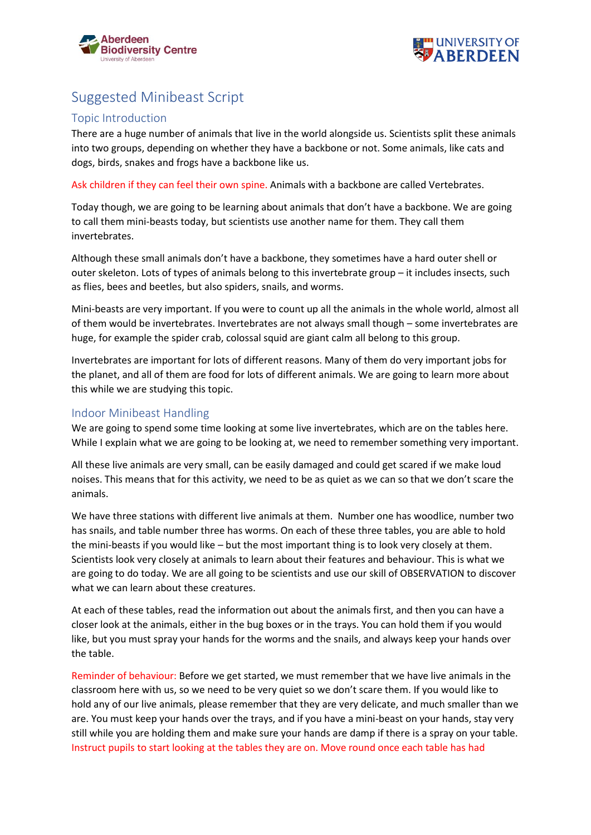



## Suggested Minibeast Script

## Topic Introduction

There are a huge number of animals that live in the world alongside us. Scientists split these animals into two groups, depending on whether they have a backbone or not. Some animals, like cats and dogs, birds, snakes and frogs have a backbone like us.

Ask children if they can feel their own spine. Animals with a backbone are called Vertebrates.

Today though, we are going to be learning about animals that don't have a backbone. We are going to call them mini-beasts today, but scientists use another name for them. They call them invertebrates.

Although these small animals don't have a backbone, they sometimes have a hard outer shell or outer skeleton. Lots of types of animals belong to this invertebrate group – it includes insects, such as flies, bees and beetles, but also spiders, snails, and worms.

Mini-beasts are very important. If you were to count up all the animals in the whole world, almost all of them would be invertebrates. Invertebrates are not always small though – some invertebrates are huge, for example the spider crab, colossal squid are giant calm all belong to this group.

Invertebrates are important for lots of different reasons. Many of them do very important jobs for the planet, and all of them are food for lots of different animals. We are going to learn more about this while we are studying this topic.

## Indoor Minibeast Handling

We are going to spend some time looking at some live invertebrates, which are on the tables here. While I explain what we are going to be looking at, we need to remember something very important.

All these live animals are very small, can be easily damaged and could get scared if we make loud noises. This means that for this activity, we need to be as quiet as we can so that we don't scare the animals.

We have three stations with different live animals at them. Number one has woodlice, number two has snails, and table number three has worms. On each of these three tables, you are able to hold the mini-beasts if you would like – but the most important thing is to look very closely at them. Scientists look very closely at animals to learn about their features and behaviour. This is what we are going to do today. We are all going to be scientists and use our skill of OBSERVATION to discover what we can learn about these creatures.

At each of these tables, read the information out about the animals first, and then you can have a closer look at the animals, either in the bug boxes or in the trays. You can hold them if you would like, but you must spray your hands for the worms and the snails, and always keep your hands over the table.

Reminder of behaviour: Before we get started, we must remember that we have live animals in the classroom here with us, so we need to be very quiet so we don't scare them. If you would like to hold any of our live animals, please remember that they are very delicate, and much smaller than we are. You must keep your hands over the trays, and if you have a mini-beast on your hands, stay very still while you are holding them and make sure your hands are damp if there is a spray on your table. Instruct pupils to start looking at the tables they are on. Move round once each table has had